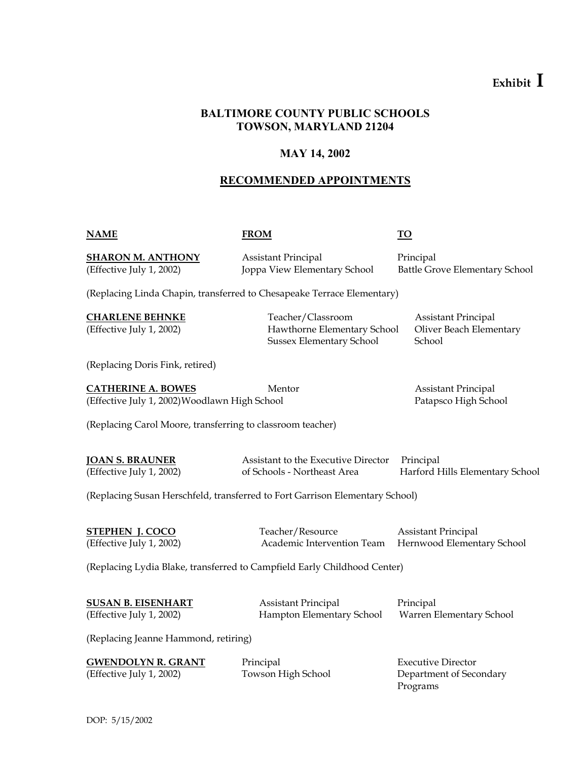# **BALTIMORE COUNTY PUBLIC SCHOOLS TOWSON, MARYLAND 21204**

# **MAY 14, 2002**

# **RECOMMENDED APPOINTMENTS**

**NAME FROM TO**

**SHARON M. ANTHONY** Assistant Principal Principal Principal

(Effective July 1, 2002) Joppa View Elementary School Battle Grove Elementary School

(Replacing Linda Chapin, transferred to Chesapeake Terrace Elementary)

**CHARLENE BEHNKE** Teacher/Classroom Assistant Principal (Effective July 1, 2002) Hawthorne Elementary School Oliver Beach Elementary Sussex Elementary School School

(Replacing Doris Fink, retired)

**CATHERINE A. BOWES** Mentor Mentor Assistant Principal (Effective July 1, 2002) Woodlawn High School Patapsco High School

(Replacing Carol Moore, transferring to classroom teacher)

**JOAN S. BRAUNER** Assistant to the Executive Director Principal (Effective July 1, 2002) of Schools - Northeast Area Harford Hills Elementary School

(Replacing Susan Herschfeld, transferred to Fort Garrison Elementary School)

**STEPHEN J. COCO** Teacher/Resource Assistant Principal

(Effective July 1, 2002) Academic Intervention Team Hernwood Elementary School

(Replacing Lydia Blake, transferred to Campfield Early Childhood Center)

(Effective July 1, 2002) Hampton Elementary School Warren Elementary School

**SUSAN B. EISENHART** Assistant Principal Principal Principal

(Replacing Jeanne Hammond, retiring)

| <b>GWENDOLYN R. GRANT</b> | Principal          | Executive Director      |
|---------------------------|--------------------|-------------------------|
| (Effective July 1, 2002)  | Towson High School | Department of Secondary |
|                           |                    | Programs                |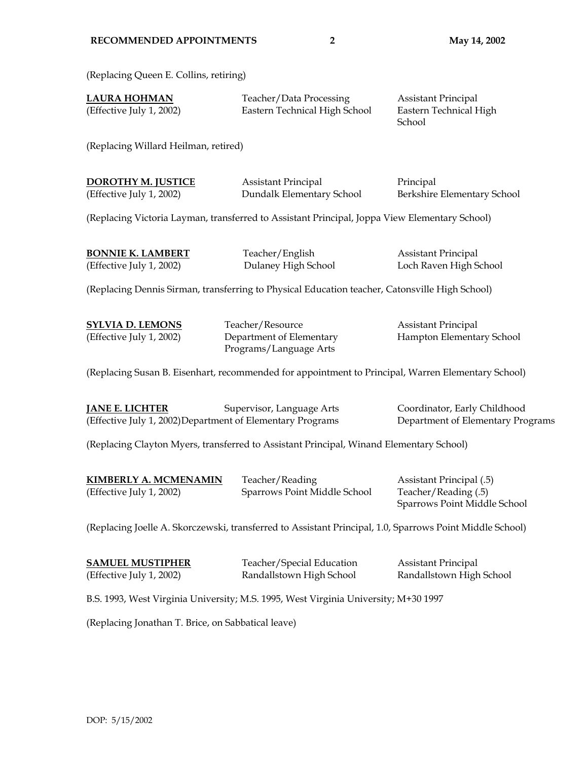(Replacing Queen E. Collins, retiring)

| <b>LAURA HOHMAN</b>      | Teacher/Data Processing       | Assistant Principal    |
|--------------------------|-------------------------------|------------------------|
| (Effective July 1, 2002) | Eastern Technical High School | Eastern Technical High |

**School** 

(Replacing Willard Heilman, retired)

| DOROTHY M. JUSTICE       | Assistant Principal       | Principal                   |
|--------------------------|---------------------------|-----------------------------|
| (Effective July 1, 2002) | Dundalk Elementary School | Berkshire Elementary School |

(Replacing Victoria Layman, transferred to Assistant Principal, Joppa View Elementary School)

| <b>BONNIE K. LAMBERT</b> | Teacher/English     | Assistant Principal    |
|--------------------------|---------------------|------------------------|
| (Effective July 1, 2002) | Dulaney High School | Loch Raven High School |

(Replacing Dennis Sirman, transferring to Physical Education teacher, Catonsville High School)

**SYLVIA D. LEMONS** Teacher/Resource **Teacher/Resource** Assistant Principal Programs/Language Arts

(Effective July 1, 2002) Department of Elementary Hampton Elementary School

(Replacing Susan B. Eisenhart, recommended for appointment to Principal, Warren Elementary School)

**JANE E. LICHTER** Supervisor, Language Arts Coordinator, Early Childhood (Effective July 1, 2002) Department of Elementary Programs Department of Elementary Programs

(Replacing Clayton Myers, transferred to Assistant Principal, Winand Elementary School)

| <b>KIMBERLY A. MCMENAMIN</b> | Teacher/Reading              | Assistant Principal (.5)     |
|------------------------------|------------------------------|------------------------------|
| (Effective July 1, 2002)     | Sparrows Point Middle School | Teacher/Reading (.5)         |
|                              |                              | Sparrows Point Middle School |

(Replacing Joelle A. Skorczewski, transferred to Assistant Principal, 1.0, Sparrows Point Middle School)

| <b>SAMUEL MUSTIPHER</b>  | Teacher/Special Education | <b>Assistant Principal</b> |
|--------------------------|---------------------------|----------------------------|
| (Effective July 1, 2002) | Randallstown High School  | Randallstown High School   |

B.S. 1993, West Virginia University; M.S. 1995, West Virginia University; M+30 1997

(Replacing Jonathan T. Brice, on Sabbatical leave)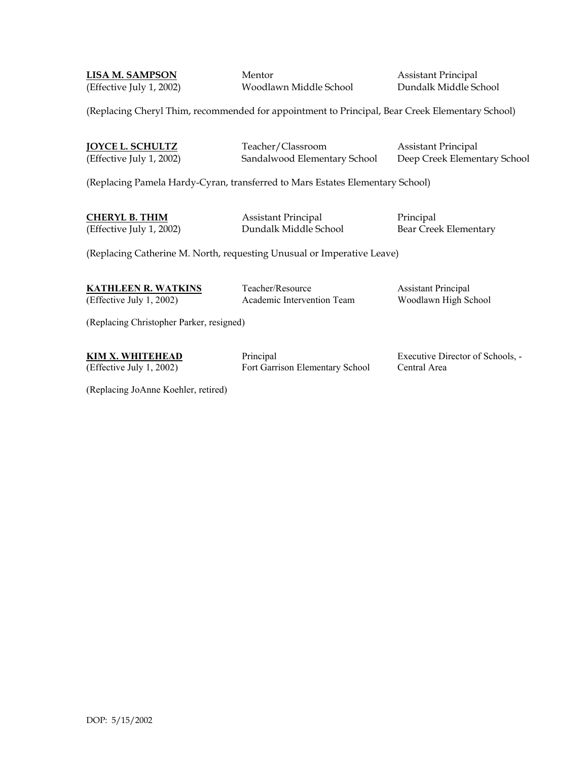**LISA M. SAMPSON** Mentor Mentor Assistant Principal (Effective July 1, 2002) Woodlawn Middle School Dundalk Middle School

(Replacing Cheryl Thim, recommended for appointment to Principal, Bear Creek Elementary School)

**JOYCE L. SCHULTZ** Teacher/Classroom Assistant Principal (Effective July 1, 2002) Sandalwood Elementary School Deep Creek Elementary School

(Replacing Pamela Hardy-Cyran, transferred to Mars Estates Elementary School)

**CHERYL B. THIM** Assistant Principal Principal

(Effective July 1, 2002) Dundalk Middle School Bear Creek Elementary

(Replacing Catherine M. North, requesting Unusual or Imperative Leave)

**KATHLEEN R. WATKINS** Teacher/Resource **The Assistant Principal** (Effective July 1, 2002) Academic Intervention Team Woodlawn High School

(Replacing Christopher Parker, resigned)

(Effective July 1, 2002) Fort Garrison Elementary School Central Area

**KIM X. WHITEHEAD** Principal Principal Executive Director of Schools, -

(Replacing JoAnne Koehler, retired)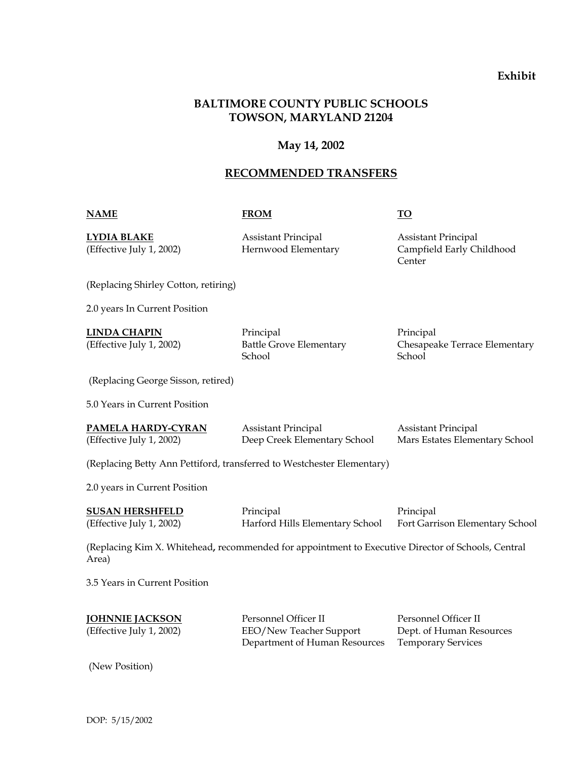# **BALTIMORE COUNTY PUBLIC SCHOOLS TOWSON, MARYLAND 21204**

### **May 14, 2002**

### **RECOMMENDED TRANSFERS**

#### **NAME FROM TO**

**LYDIA BLAKE** Assistant Principal Assistant Principal

(Effective July 1, 2002) Hernwood Elementary Campfield Early Childhood **Center** Content of the Content of the Content of the Content of the Content of the Content of the Content of the Content of the Content of the Content of the Content of the Content of the Content of the Content of the Con

(Replacing Shirley Cotton, retiring)

2.0 years In Current Position

**LINDA CHAPIN** Principal Principal Principal School School School School School School School School School School School School School School School School

(Effective July 1, 2002) Battle Grove Elementary Chesapeake Terrace Elementary

(Replacing George Sisson, retired)

5.0 Years in Current Position

| <b>PAMELA HARDY-CYRAN</b> | Assistant Principal          | Assistant Principal            |
|---------------------------|------------------------------|--------------------------------|
| (Effective July 1, 2002)  | Deep Creek Elementary School | Mars Estates Elementary School |

(Replacing Betty Ann Pettiford, transferred to Westchester Elementary)

2.0 years in Current Position

| <b>SUSAN HERSHFELD</b>   | Principal                       | Principal                       |
|--------------------------|---------------------------------|---------------------------------|
| (Effective July 1, 2002) | Harford Hills Elementary School | Fort Garrison Elementary School |

(Replacing Kim X. Whitehead**,** recommended for appointment to Executive Director of Schools, Central Area)

3.5 Years in Current Position

| <b>JOHNNIE JACKSON</b>   | Personnel Officer II          | Personnel Officer II      |
|--------------------------|-------------------------------|---------------------------|
| (Effective July 1, 2002) | EEO/New Teacher Support       | Dept. of Human Resources  |
|                          | Department of Human Resources | <b>Temporary Services</b> |

(New Position)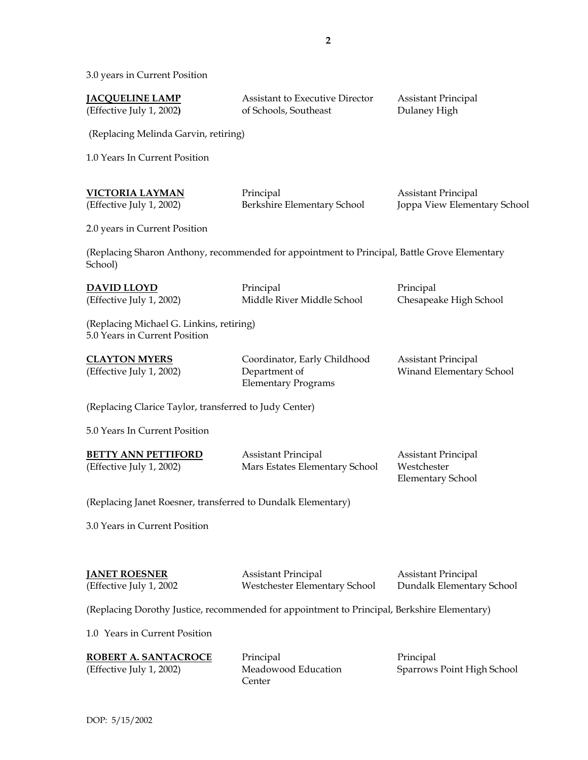3.0 years in Current Position

| <u><b>JACQUELINE LAMP</b></u><br>(Effective July 1, 2002)                 | <b>Assistant to Executive Director</b><br>of Schools, Southeast                              | <b>Assistant Principal</b><br>Dulaney High                            |
|---------------------------------------------------------------------------|----------------------------------------------------------------------------------------------|-----------------------------------------------------------------------|
| (Replacing Melinda Garvin, retiring)                                      |                                                                                              |                                                                       |
| 1.0 Years In Current Position                                             |                                                                                              |                                                                       |
| <u>VICTORIA LAYMAN</u><br>(Effective July 1, 2002)                        | Principal<br>Berkshire Elementary School                                                     | <b>Assistant Principal</b><br>Joppa View Elementary School            |
| 2.0 years in Current Position                                             |                                                                                              |                                                                       |
| School)                                                                   | (Replacing Sharon Anthony, recommended for appointment to Principal, Battle Grove Elementary |                                                                       |
| <u>DAVID LLOYD</u><br>(Effective July 1, 2002)                            | Principal<br>Middle River Middle School                                                      | Principal<br>Chesapeake High School                                   |
| (Replacing Michael G. Linkins, retiring)<br>5.0 Years in Current Position |                                                                                              |                                                                       |
| <b>CLAYTON MYERS</b><br>(Effective July 1, 2002)                          | Coordinator, Early Childhood<br>Department of<br><b>Elementary Programs</b>                  | <b>Assistant Principal</b><br>Winand Elementary School                |
| (Replacing Clarice Taylor, transferred to Judy Center)                    |                                                                                              |                                                                       |
| 5.0 Years In Current Position                                             |                                                                                              |                                                                       |
| <b>BETTY ANN PETTIFORD</b><br>(Effective July 1, 2002)                    | <b>Assistant Principal</b><br>Mars Estates Elementary School                                 | <b>Assistant Principal</b><br>Westchester<br><b>Elementary School</b> |
| (Replacing Janet Roesner, transferred to Dundalk Elementary)              |                                                                                              |                                                                       |
| 3.0 Years in Current Position                                             |                                                                                              |                                                                       |
| <u>JANET ROESNER</u><br>(Effective July 1, 2002                           | <b>Assistant Principal</b><br>Westchester Elementary School                                  | <b>Assistant Principal</b><br>Dundalk Elementary School               |
|                                                                           | (Replacing Dorothy Justice, recommended for appointment to Principal, Berkshire Elementary)  |                                                                       |
| 1.0 Years in Current Position                                             |                                                                                              |                                                                       |
| <u>ROBERT A. SANTACROCE</u><br>(Effective July 1, 2002)                   | Principal<br>Meadowood Education<br>Center                                                   | Principal<br>Sparrows Point High School                               |